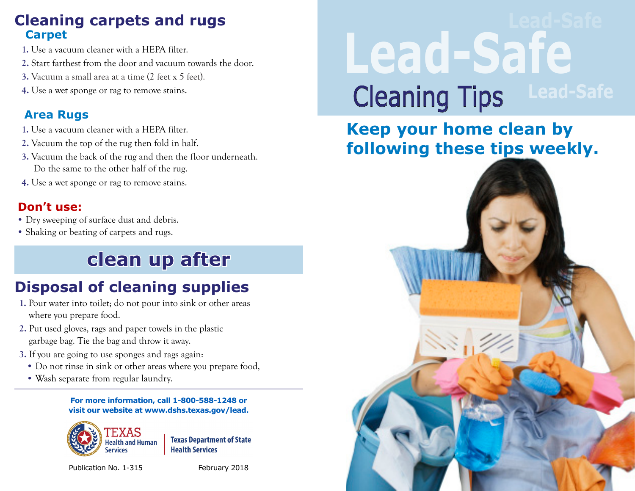#### **Cleaning carpets and rugs Carpet**

- **1.** Use a vacuum cleaner with a HEPA filter.
- **2.** Start farthest from the door and vacuum towards the door.
- **3.** Vacuum a small area at a time (2 feet x 5 feet).
- **4.** Use a wet sponge or rag to remove stains.

#### **Area Rugs**

- **1.** Use a vacuum cleaner with a HEPA filter.
- **2.** Vacuum the top of the rug then fold in half.
- **3.** Vacuum the back of the rug and then the floor underneath. Do the same to the other half of the rug.
- **4.** Use a wet sponge or rag to remove stains.

#### **Don't use:**

- Dry sweeping of surface dust and debris.
- Shaking or beating of carpets and rugs.

# **clean up after**

## **Disposal of cleaning supplies**

- **1.** Pour water into toilet; do not pour into sink or other areas where you prepare food.
- **2.** Put used gloves, rags and paper towels in the plastic garbage bag. Tie the bag and throw it away.
- **3.** If you are going to use sponges and rags again:
	- Do not rinse in sink or other areas where you prepare food,
	- Wash separate from regular laundry.

#### **For more information, call 1-800-588-1248 or visit our website at www.dshs.texas.gov/lead.**



**Texas Department of State Health Services** 

Publication No. 1-315 February 2018

# **Lead-Safe Cleaning Tips**

## **Keep your home clean by following these tips weekly.**